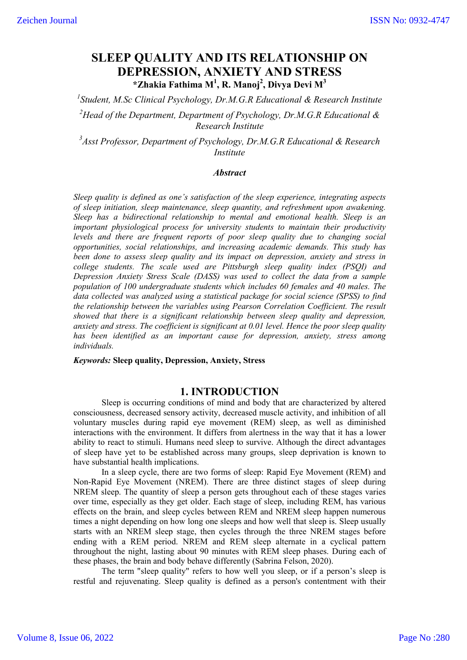# **SLEEP QUALITY AND ITS RELATIONSHIP ON DEPRESSION, ANXIETY AND STRESS \*Zhakia Fathima M1 , R. Manoj2 , Divya Devi M<sup>3</sup>**

*1 Student, M.Sc Clinical Psychology, Dr.M.G.R Educational & Research Institute 2 Head of the Department, Department of Psychology, Dr.M.G.R Educational & Research Institute*

*3 Asst Professor, Department of Psychology, Dr.M.G.R Educational & Research Institute*

### *Abstract*

*Sleep quality is defined as one's satisfaction of the sleep experience, integrating aspects of sleep initiation, sleep maintenance, sleep quantity, and refreshment upon awakening. Sleep has a bidirectional relationship to mental and emotional health. Sleep is an important physiological process for university students to maintain their productivity levels and there are frequent reports of poor sleep quality due to changing social opportunities, social relationships, and increasing academic demands. This study has been done to assess sleep quality and its impact on depression, anxiety and stress in college students. The scale used are Pittsburgh sleep quality index (PSQI) and Depression Anxiety Stress Scale (DASS) was used to collect the data from a sample population of 100 undergraduate students which includes 60 females and 40 males. The data collected was analyzed using a statistical package for social science (SPSS) to find the relationship between the variables using Pearson Correlation Coefficient. The result showed that there is a significant relationship between sleep quality and depression, anxiety and stress. The coefficient is significant at 0.01 level. Hence the poor sleep quality has been identified as an important cause for depression, anxiety, stress among individuals.*

### *Keywords:* **Sleep quality, Depression, Anxiety, Stress**

### **1. INTRODUCTION**

Sleep is occurring conditions of mind and body that are characterized by altered consciousness, decreased sensory activity, decreased muscle activity, and inhibition of all voluntary muscles during rapid eye movement (REM) sleep, as well as diminished interactions with the environment. It differs from alertness in the way that it has a lower ability to react to stimuli. Humans need sleep to survive. Although the direct advantages of sleep have yet to be established across many groups, sleep deprivation is known to have substantial health implications.

In a sleep cycle, there are two forms of sleep: Rapid Eye Movement (REM) and Non-Rapid Eye Movement (NREM). There are three distinct stages of sleep during NREM sleep. The quantity of sleep a person gets throughout each of these stages varies over time, especially as they get older. Each stage of sleep, including REM, has various effects on the brain, and sleep cycles between REM and NREM sleep happen numerous times a night depending on how long one sleeps and how well that sleep is. Sleep usually starts with an NREM sleep stage, then cycles through the three NREM stages before ending with a REM period. NREM and REM sleep alternate in a cyclical pattern throughout the night, lasting about 90 minutes with REM sleep phases. During each of these phases, the brain and body behave differently (Sabrina Felson, 2020).

The term "sleep quality" refers to how well you sleep, or if a person's sleep is restful and rejuvenating. Sleep quality is defined as a person's contentment with their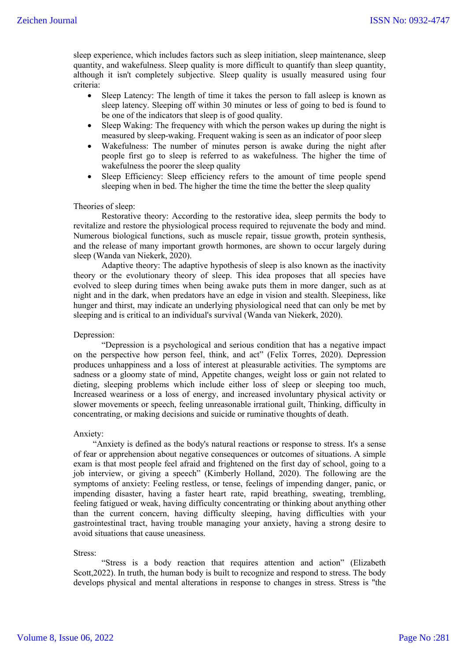sleep experience, which includes factors such as sleep initiation, sleep maintenance, sleep quantity, and wakefulness. Sleep quality is more difficult to quantify than sleep quantity, although it isn't completely subjective. Sleep quality is usually measured using four criteria:

- Sleep Latency: The length of time it takes the person to fall asleep is known as sleep latency. Sleeping off within 30 minutes or less of going to bed is found to be one of the indicators that sleep is of good quality.
- Sleep Waking: The frequency with which the person wakes up during the night is measured by sleep-waking. Frequent waking is seen as an indicator of poor sleep
- Wakefulness: The number of minutes person is awake during the night after people first go to sleep is referred to as wakefulness. The higher the time of wakefulness the poorer the sleep quality
- Sleep Efficiency: Sleep efficiency refers to the amount of time people spend sleeping when in bed. The higher the time the time the better the sleep quality

### Theories of sleep:

Restorative theory: According to the restorative idea, sleep permits the body to revitalize and restore the physiological process required to rejuvenate the body and mind. Numerous biological functions, such as muscle repair, tissue growth, protein synthesis, and the release of many important growth hormones, are shown to occur largely during sleep (Wanda van Niekerk, 2020).

Adaptive theory: The adaptive hypothesis of sleep is also known as the inactivity theory or the evolutionary theory of sleep. This idea proposes that all species have evolved to sleep during times when being awake puts them in more danger, such as at night and in the dark, when predators have an edge in vision and stealth. Sleepiness, like hunger and thirst, may indicate an underlying physiological need that can only be met by sleeping and is critical to an individual's survival (Wanda van Niekerk, 2020).

### Depression:

"Depression is a psychological and serious condition that has a negative impact on the perspective how person feel, think, and act" (Felix Torres, 2020). Depression produces unhappiness and a loss of interest at pleasurable activities. The symptoms are sadness or a gloomy state of mind, Appetite changes, weight loss or gain not related to dieting, sleeping problems which include either loss of sleep or sleeping too much, Increased weariness or a loss of energy, and increased involuntary physical activity or slower movements or speech, feeling unreasonable irrational guilt, Thinking, difficulty in concentrating, or making decisions and suicide or ruminative thoughts of death.

#### Anxiety:

 "Anxiety is defined as the body's natural reactions or response to stress. It's a sense of fear or apprehension about negative consequences or outcomes of situations. A simple exam is that most people feel afraid and frightened on the first day of school, going to a job interview, or giving a speech" (Kimberly Holland, 2020). The following are the symptoms of anxiety: Feeling restless, or tense, feelings of impending danger, panic, or impending disaster, having a faster heart rate, rapid breathing, sweating, trembling, feeling fatigued or weak, having difficulty concentrating or thinking about anything other than the current concern, having difficulty sleeping, having difficulties with your gastrointestinal tract, having trouble managing your anxiety, having a strong desire to avoid situations that cause uneasiness.

### Stress:

"Stress is a body reaction that requires attention and action" (Elizabeth Scott,2022). In truth, the human body is built to recognize and respond to stress. The body develops physical and mental alterations in response to changes in stress. Stress is "the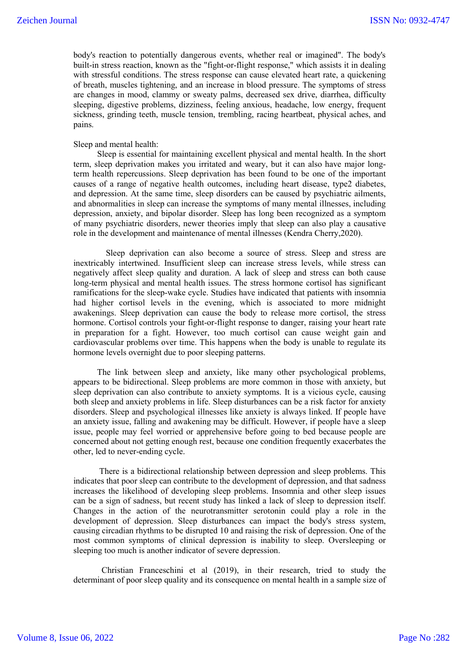body's reaction to potentially dangerous events, whether real or imagined". The body's built-in stress reaction, known as the "fight-or-flight response," which assists it in dealing with stressful conditions. The stress response can cause elevated heart rate, a quickening of breath, muscles tightening, and an increase in blood pressure. The symptoms of stress are changes in mood, clammy or sweaty palms, decreased sex drive, diarrhea, difficulty sleeping, digestive problems, dizziness, feeling anxious, headache, low energy, frequent sickness, grinding teeth, muscle tension, trembling, racing heartbeat, physical aches, and pains.

### Sleep and mental health:

 Sleep is essential for maintaining excellent physical and mental health. In the short term, sleep deprivation makes you irritated and weary, but it can also have major longterm health repercussions. Sleep deprivation has been found to be one of the important causes of a range of negative health outcomes, including heart disease, type2 diabetes, and depression. At the same time, sleep disorders can be caused by psychiatric ailments, and abnormalities in sleep can increase the symptoms of many mental illnesses, including depression, anxiety, and bipolar disorder. Sleep has long been recognized as a symptom of many psychiatric disorders, newer theories imply that sleep can also play a causative role in the development and maintenance of mental illnesses (Kendra Cherry,2020).

 Sleep deprivation can also become a source of stress. Sleep and stress are inextricably intertwined. Insufficient sleep can increase stress levels, while stress can negatively affect sleep quality and duration. A lack of sleep and stress can both cause long-term physical and mental health issues. The stress hormone cortisol has significant ramifications for the sleep-wake cycle. Studies have indicated that patients with insomnia had higher cortisol levels in the evening, which is associated to more midnight awakenings. Sleep deprivation can cause the body to release more cortisol, the stress hormone. Cortisol controls your fight-or-flight response to danger, raising your heart rate in preparation for a fight. However, too much cortisol can cause weight gain and cardiovascular problems over time. This happens when the body is unable to regulate its hormone levels overnight due to poor sleeping patterns.

 The link between sleep and anxiety, like many other psychological problems, appears to be bidirectional. Sleep problems are more common in those with anxiety, but sleep deprivation can also contribute to anxiety symptoms. It is a vicious cycle, causing both sleep and anxiety problems in life. Sleep disturbances can be a risk factor for anxiety disorders. Sleep and psychological illnesses like anxiety is always linked. If people have an anxiety issue, falling and awakening may be difficult. However, if people have a sleep issue, people may feel worried or apprehensive before going to bed because people are concerned about not getting enough rest, because one condition frequently exacerbates the other, led to never-ending cycle.

 There is a bidirectional relationship between depression and sleep problems. This indicates that poor sleep can contribute to the development of depression, and that sadness increases the likelihood of developing sleep problems. Insomnia and other sleep issues can be a sign of sadness, but recent study has linked a lack of sleep to depression itself. Changes in the action of the neurotransmitter serotonin could play a role in the development of depression. Sleep disturbances can impact the body's stress system, causing circadian rhythms to be disrupted 10 and raising the risk of depression. One of the most common symptoms of clinical depression is inability to sleep. Oversleeping or sleeping too much is another indicator of severe depression.

Christian Franceschini et al (2019), in their research, tried to study the determinant of poor sleep quality and its consequence on mental health in a sample size of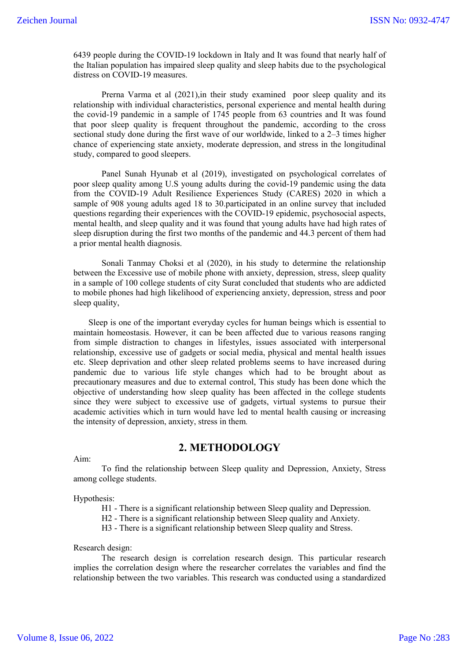6439 people during the COVID-19 lockdown in Italy and It was found that nearly half of the Italian population has impaired sleep quality and sleep habits due to the psychological distress on COVID-19 measures.

Prerna Varma et al (2021),in their study examined poor sleep quality and its relationship with individual characteristics, personal experience and mental health during the covid-19 pandemic in a sample of 1745 people from 63 countries and It was found that poor sleep quality is frequent throughout the pandemic, according to the cross sectional study done during the first wave of our worldwide, linked to a 2–3 times higher chance of experiencing state anxiety, moderate depression, and stress in the longitudinal study, compared to good sleepers.

Panel Sunah Hyunab et al (2019), investigated on psychological correlates of poor sleep quality among U.S young adults during the covid-19 pandemic using the data from the COVID-19 Adult Resilience Experiences Study (CARES) 2020 in which a sample of 908 young adults aged 18 to 30.participated in an online survey that included questions regarding their experiences with the COVID-19 epidemic, psychosocial aspects, mental health, and sleep quality and it was found that young adults have had high rates of sleep disruption during the first two months of the pandemic and 44.3 percent of them had a prior mental health diagnosis.

Sonali Tanmay Choksi et al (2020), in his study to determine the relationship between the Excessive use of mobile phone with anxiety, depression, stress, sleep quality in a sample of 100 college students of city Surat concluded that students who are addicted to mobile phones had high likelihood of experiencing anxiety, depression, stress and poor sleep quality,

 Sleep is one of the important everyday cycles for human beings which is essential to maintain homeostasis. However, it can be been affected due to various reasons ranging from simple distraction to changes in lifestyles, issues associated with interpersonal relationship, excessive use of gadgets or social media, physical and mental health issues etc. Sleep deprivation and other sleep related problems seems to have increased during pandemic due to various life style changes which had to be brought about as precautionary measures and due to external control, This study has been done which the objective of understanding how sleep quality has been affected in the college students since they were subject to excessive use of gadgets, virtual systems to pursue their academic activities which in turn would have led to mental health causing or increasing the intensity of depression, anxiety, stress in them.

Aim:

### **2. METHODOLOGY**

To find the relationship between Sleep quality and Depression, Anxiety, Stress among college students.

Hypothesis:

H1 - There is a significant relationship between Sleep quality and Depression.

H2 - There is a significant relationship between Sleep quality and Anxiety.

H3 - There is a significant relationship between Sleep quality and Stress.

### Research design:

The research design is correlation research design. This particular research implies the correlation design where the researcher correlates the variables and find the relationship between the two variables. This research was conducted using a standardized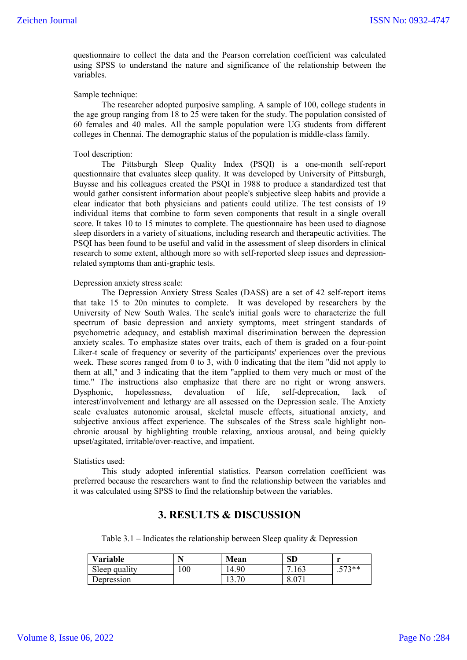questionnaire to collect the data and the Pearson correlation coefficient was calculated using SPSS to understand the nature and significance of the relationship between the variables.

### Sample technique:

The researcher adopted purposive sampling. A sample of 100, college students in the age group ranging from 18 to 25 were taken for the study. The population consisted of 60 females and 40 males. All the sample population were UG students from different colleges in Chennai. The demographic status of the population is middle-class family.

#### Tool description:

 The Pittsburgh Sleep Quality Index (PSQI) is a one-month self-report questionnaire that evaluates sleep quality. It was developed by University of Pittsburgh, Buysse and his colleagues created the PSQI in 1988 to produce a standardized test that would gather consistent information about people's subjective sleep habits and provide a clear indicator that both physicians and patients could utilize. The test consists of 19 individual items that combine to form seven components that result in a single overall score. It takes 10 to 15 minutes to complete. The questionnaire has been used to diagnose sleep disorders in a variety of situations, including research and therapeutic activities. The PSQI has been found to be useful and valid in the assessment of sleep disorders in clinical research to some extent, although more so with self-reported sleep issues and depressionrelated symptoms than anti-graphic tests.

### Depression anxiety stress scale:

The Depression Anxiety Stress Scales (DASS) are a set of 42 self-report items that take 15 to 20n minutes to complete. It was developed by researchers by the University of New South Wales. The scale's initial goals were to characterize the full spectrum of basic depression and anxiety symptoms, meet stringent standards of psychometric adequacy, and establish maximal discrimination between the depression anxiety scales. To emphasize states over traits, each of them is graded on a four-point Liker-t scale of frequency or severity of the participants' experiences over the previous week. These scores ranged from 0 to 3, with 0 indicating that the item "did not apply to them at all," and 3 indicating that the item "applied to them very much or most of the time." The instructions also emphasize that there are no right or wrong answers. Dysphonic, hopelessness, devaluation of life, self-deprecation, lack of interest/involvement and lethargy are all assessed on the Depression scale. The Anxiety scale evaluates autonomic arousal, skeletal muscle effects, situational anxiety, and subjective anxious affect experience. The subscales of the Stress scale highlight nonchronic arousal by highlighting trouble relaxing, anxious arousal, and being quickly upset/agitated, irritable/over-reactive, and impatient.

#### Statistics used:

This study adopted inferential statistics. Pearson correlation coefficient was preferred because the researchers want to find the relationship between the variables and it was calculated using SPSS to find the relationship between the variables.

## **3. RESULTS & DISCUSSION**

Table 3.1 – Indicates the relationship between Sleep quality  $\&$  Depression

| Variable      |     | Mean  | <b>SD</b>     | $\mathbf{H}$   |
|---------------|-----|-------|---------------|----------------|
| Sleep quality | 100 | 14.90 | '.163<br>⇁    | 572**<br>ر ر . |
| Depression    |     | 13.70 | . ∩~<br>0.0/1 |                |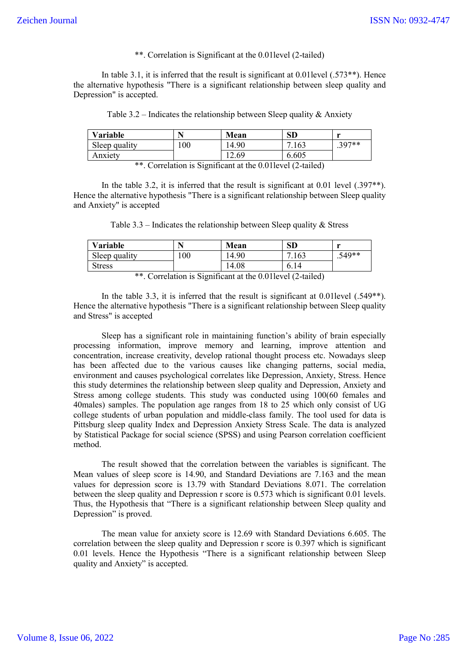\*\*. Correlation is Significant at the 0.01level (2-tailed)

In table 3.1, it is inferred that the result is significant at  $0.01$  level  $(.573**)$ . Hence the alternative hypothesis "There is a significant relationship between sleep quality and Depression" is accepted.

| Table 3.2 – Indicates the relationship between Sleep quality & Anxiety |  |  |  |  |
|------------------------------------------------------------------------|--|--|--|--|
|                                                                        |  |  |  |  |

| Variable      | N                                | Mean  | $\mathbf{SD}$ | $\mathbf{H}$ |
|---------------|----------------------------------|-------|---------------|--------------|
| Sleep quality | 100                              | 14.90 | 163           | $.397**$     |
| Anxietv       |                                  | 12.69 | 6.605         |              |
| $\sim$        | $\cdot$ $\sim$<br>$\cdot$ $\sim$ |       | $1/2$ $1/3$   |              |

\*\*. Correlation is Significant at the 0.01level (2-tailed)

In the table 3.2, it is inferred that the result is significant at 0.01 level (.397<sup>\*\*</sup>). Hence the alternative hypothesis "There is a significant relationship between Sleep quality and Anxiety" is accepted

Table  $3.3$  – Indicates the relationship between Sleep quality  $\&$  Stress

| Variable      | N  | Mean                                               | <b>SD</b> | $\mathbf{H}$ |
|---------------|----|----------------------------------------------------|-----------|--------------|
| Sleep quality | 00 | 14.90                                              | 7.163     | $.549**$     |
| <b>Stress</b> |    | 14.08                                              | 6.14      |              |
|               |    | $**$ Counter is Court on the 0.011 and $(2 \pm 1)$ |           |              |

\*\*. Correlation is Significant at the 0.01level (2-tailed)

In the table 3.3, it is inferred that the result is significant at 0.01level (.549\*\*). Hence the alternative hypothesis "There is a significant relationship between Sleep quality and Stress" is accepted

Sleep has a significant role in maintaining function's ability of brain especially processing information, improve memory and learning, improve attention and concentration, increase creativity, develop rational thought process etc. Nowadays sleep has been affected due to the various causes like changing patterns, social media, environment and causes psychological correlates like Depression, Anxiety, Stress. Hence this study determines the relationship between sleep quality and Depression, Anxiety and Stress among college students. This study was conducted using 100(60 females and 40males) samples. The population age ranges from 18 to 25 which only consist of UG college students of urban population and middle-class family. The tool used for data is Pittsburg sleep quality Index and Depression Anxiety Stress Scale. The data is analyzed by Statistical Package for social science (SPSS) and using Pearson correlation coefficient method.

The result showed that the correlation between the variables is significant. The Mean values of sleep score is 14.90, and Standard Deviations are 7.163 and the mean values for depression score is 13.79 with Standard Deviations 8.071. The correlation between the sleep quality and Depression r score is 0.573 which is significant 0.01 levels. Thus, the Hypothesis that "There is a significant relationship between Sleep quality and Depression" is proved.

The mean value for anxiety score is 12.69 with Standard Deviations 6.605. The correlation between the sleep quality and Depression r score is 0.397 which is significant 0.01 levels. Hence the Hypothesis "There is a significant relationship between Sleep quality and Anxiety" is accepted.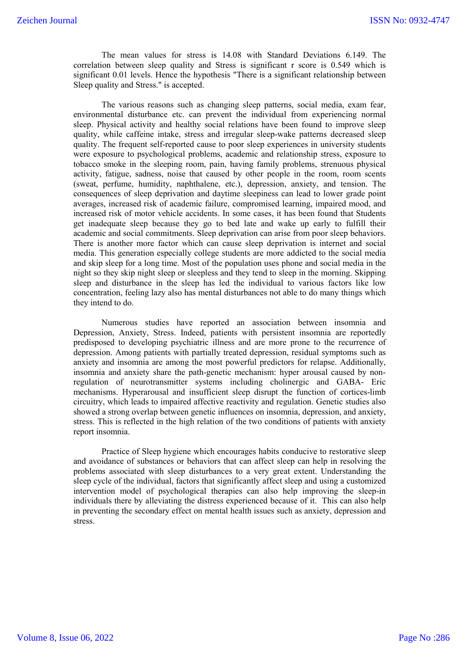The mean values for stress is 14.08 with Standard Deviations 6.149. The correlation between sleep quality and Stress is significant r score is 0.549 which is significant 0.01 levels. Hence the hypothesis "There is a significant relationship between Sleep quality and Stress." is accepted.

The various reasons such as changing sleep patterns, social media, exam fear, environmental disturbance etc. can prevent the individual from experiencing normal sleep. Physical activity and healthy social relations have been found to improve sleep quality, while caffeine intake, stress and irregular sleep-wake patterns decreased sleep quality. The frequent self-reported cause to poor sleep experiences in university students were exposure to psychological problems, academic and relationship stress, exposure to tobacco smoke in the sleeping room, pain, having family problems, strenuous physical activity, fatigue, sadness, noise that caused by other people in the room, room scents (sweat, perfume, humidity, naphthalene, etc.), depression, anxiety, and tension. The consequences of sleep deprivation and daytime sleepiness can lead to lower grade point averages, increased risk of academic failure, compromised learning, impaired mood, and increased risk of motor vehicle accidents. In some cases, it has been found that Students get inadequate sleep because they go to bed late and wake up early to fulfill their academic and social commitments. Sleep deprivation can arise from poor sleep behaviors. There is another more factor which can cause sleep deprivation is internet and social media. This generation especially college students are more addicted to the social media and skip sleep for a long time. Most of the population uses phone and social media in the night so they skip night sleep or sleepless and they tend to sleep in the morning. Skipping sleep and disturbance in the sleep has led the individual to various factors like low concentration, feeling lazy also has mental disturbances not able to do many things which they intend to do.

Numerous studies have reported an association between insomnia and Depression, Anxiety, Stress. Indeed, patients with persistent insomnia are reportedly predisposed to developing psychiatric illness and are more prone to the recurrence of depression. Among patients with partially treated depression, residual symptoms such as anxiety and insomnia are among the most powerful predictors for relapse. Additionally, insomnia and anxiety share the path-genetic mechanism: hyper arousal caused by nonregulation of neurotransmitter systems including cholinergic and GABA- Eric mechanisms. Hyperarousal and insufficient sleep disrupt the function of cortices-limb circuitry, which leads to impaired affective reactivity and regulation. Genetic studies also showed a strong overlap between genetic influences on insomnia, depression, and anxiety, stress. This is reflected in the high relation of the two conditions of patients with anxiety report insomnia.

Practice of Sleep hygiene which encourages habits conducive to restorative sleep and avoidance of substances or behaviors that can affect sleep can help in resolving the problems associated with sleep disturbances to a very great extent. Understanding the sleep cycle of the individual, factors that significantly affect sleep and using a customized intervention model of psychological therapies can also help improving the sleep-in individuals there by alleviating the distress experienced because of it. This can also help in preventing the secondary effect on mental health issues such as anxiety, depression and stress.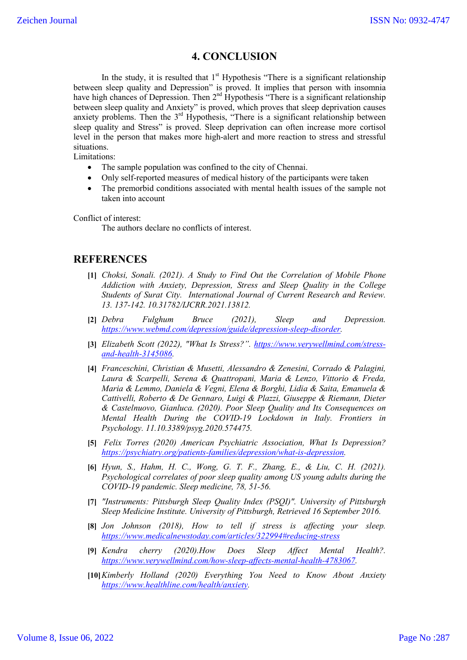# **4. CONCLUSION**

In the study, it is resulted that  $1<sup>st</sup>$  Hypothesis "There is a significant relationship between sleep quality and Depression" is proved. It implies that person with insomnia have high chances of Depression. Then  $2<sup>nd</sup>$  Hypothesis "There is a significant relationship between sleep quality and Anxiety" is proved, which proves that sleep deprivation causes anxiety problems. Then the  $3<sup>rd</sup>$  Hypothesis, "There is a significant relationship between sleep quality and Stress" is proved. Sleep deprivation can often increase more cortisol level in the person that makes more high-alert and more reaction to stress and stressful situations.

Limitations:

- The sample population was confined to the city of Chennai.
- Only self-reported measures of medical history of the participants were taken
- The premorbid conditions associated with mental health issues of the sample not taken into account

Conflict of interest:

The authors declare no conflicts of interest.

# **REFERENCES**

- **[1]** *Choksi, Sonali. (2021). A Study to Find Out the Correlation of Mobile Phone Addiction with Anxiety, Depression, Stress and Sleep Quality in the College Students of Surat City. International Journal of Current Research and Review. 13. 137-142. 10.31782/IJCRR.2021.13812.*
- **[2]** *Debra Fulghum Bruce (2021), Sleep and Depression. https://www.webmd.com/depression/guide/depression-sleep-disorder.*
- **[3]** *Elizabeth Scott (2022), "What Is Stress?". https://www.verywellmind.com/stressand-health-3145086.*
- **[4]** *Franceschini, Christian & Musetti, Alessandro & Zenesini, Corrado & Palagini, Laura & Scarpelli, Serena & Quattropani, Maria & Lenzo, Vittorio & Freda, Maria & Lemmo, Daniela & Vegni, Elena & Borghi, Lidia & Saita, Emanuela & Cattivelli, Roberto & De Gennaro, Luigi & Plazzi, Giuseppe & Riemann, Dieter & Castelnuovo, Gianluca. (2020). Poor Sleep Quality and Its Consequences on Mental Health During the COVID-19 Lockdown in Italy. Frontiers in Psychology. 11.10.3389/psyg.2020.574475.*
- **[5]** *Felix Torres (2020) American Psychiatric Association, What Is Depression? https://psychiatry.org/patients-families/depression/what-is-depression.*
- **[6]** *Hyun, S., Hahm, H. C., Wong, G. T. F., Zhang, E., & Liu, C. H. (2021). Psychological correlates of poor sleep quality among US young adults during the COVID-19 pandemic. Sleep medicine, 78, 51-56.*
- **[7]** *"Instruments: Pittsburgh Sleep Quality Index (PSQI)". University of Pittsburgh Sleep Medicine Institute. University of Pittsburgh, Retrieved 16 September 2016.*
- **[8]** *Jon Johnson (2018), How to tell if stress is affecting your sleep. https://www.medicalnewstoday.com/articles/322994#reducing-stress*
- **[9]** *Kendra cherry (2020).How Does Sleep Affect Mental Health?. https://www.verywellmind.com/how-sleep-affects-mental-health-4783067.*
- **[10]***Kimberly Holland (2020) Everything You Need to Know About Anxiety https://www.healthline.com/health/anxiety.*